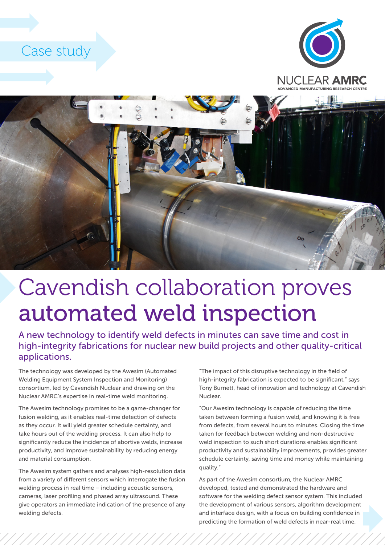





## Cavendish collaboration proves automated weld inspection

A new technology to identify weld defects in minutes can save time and cost in high-integrity fabrications for nuclear new build projects and other quality-critical applications.

The technology was developed by the Awesim (Automated Welding Equipment System Inspection and Monitoring) consortium, led by Cavendish Nuclear and drawing on the Nuclear AMRC's expertise in real-time weld monitoring.

The Awesim technology promises to be a game-changer for fusion welding, as it enables real-time detection of defects as they occur. It will yield greater schedule certainty, and take hours out of the welding process. It can also help to significantly reduce the incidence of abortive welds, increase productivity, and improve sustainability by reducing energy and material consumption.

The Awesim system gathers and analyses high-resolution data from a variety of different sensors which interrogate the fusion welding process in real time – including acoustic sensors, cameras, laser profiling and phased array ultrasound. These give operators an immediate indication of the presence of any welding defects.

"The impact of this disruptive technology in the field of high-integrity fabrication is expected to be significant," says Tony Burnett, head of innovation and technology at Cavendish Nuclear.

"Our Awesim technology is capable of reducing the time taken between forming a fusion weld, and knowing it is free from defects, from several hours to minutes. Closing the time taken for feedback between welding and non-destructive weld inspection to such short durations enables significant productivity and sustainability improvements, provides greater schedule certainty, saving time and money while maintaining quality."

As part of the Awesim consortium, the Nuclear AMRC developed, tested and demonstrated the hardware and software for the welding defect sensor system. This included the development of various sensors, algorithm development and interface design, with a focus on building confidence in predicting the formation of weld defects in near-real time.